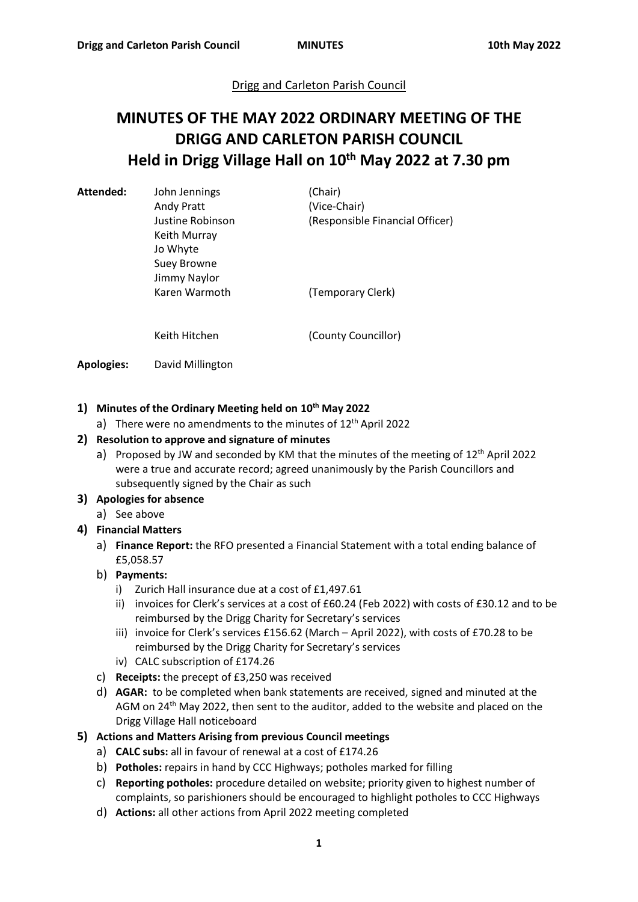## Drigg and Carleton Parish Council

# **MINUTES OF THE MAY 2022 ORDINARY MEETING OF THE DRIGG AND CARLETON PARISH COUNCIL Held in Drigg Village Hall on 10th May 2022 at 7.30 pm**

Attended: John Jennings (Chair)

Keith Murray Jo Whyte Suey Browne Jimmy Naylor Karen Warmoth (Temporary Clerk)

Andy Pratt (Vice-Chair) Justine Robinson (Responsible Financial Officer)

Keith Hitchen (County Councillor)

**Apologies:** David Millington

## **1) Minutes of the Ordinary Meeting held on 10th May 2022**

a) There were no amendments to the minutes of  $12<sup>th</sup>$  April 2022

## **2) Resolution to approve and signature of minutes**

a) Proposed by JW and seconded by KM that the minutes of the meeting of  $12<sup>th</sup>$  April 2022 were a true and accurate record; agreed unanimously by the Parish Councillors and subsequently signed by the Chair as such

#### **3) Apologies for absence**

a) See above

## **4) Financial Matters**

a) **Finance Report:** the RFO presented a Financial Statement with a total ending balance of £5,058.57

#### b) **Payments:**

- i) Zurich Hall insurance due at a cost of £1,497.61
- ii) invoices for Clerk's services at a cost of £60.24 (Feb 2022) with costs of £30.12 and to be reimbursed by the Drigg Charity for Secretary's services
- iii) invoice for Clerk's services £156.62 (March April 2022), with costs of £70.28 to be reimbursed by the Drigg Charity for Secretary's services
- iv) CALC subscription of £174.26
- c) **Receipts:** the precept of £3,250 was received
- d) **AGAR:** to be completed when bank statements are received, signed and minuted at the AGM on 24<sup>th</sup> May 2022, then sent to the auditor, added to the website and placed on the Drigg Village Hall noticeboard

## **5) Actions and Matters Arising from previous Council meetings**

- a) **CALC subs:** all in favour of renewal at a cost of £174.26
- b) **Potholes:** repairs in hand by CCC Highways; potholes marked for filling
- c) **Reporting potholes:** procedure detailed on website; priority given to highest number of complaints, so parishioners should be encouraged to highlight potholes to CCC Highways
- d) **Actions:** all other actions from April 2022 meeting completed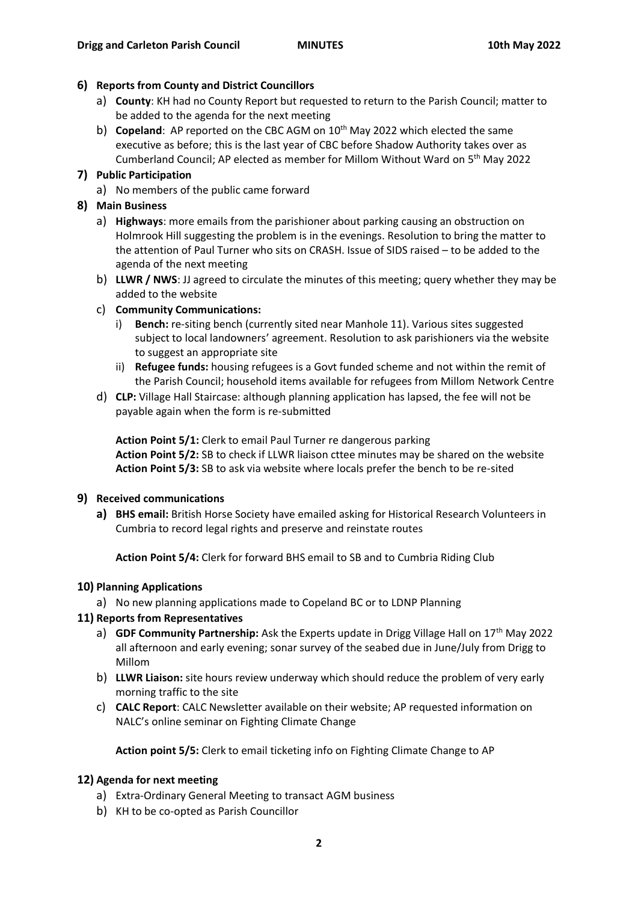#### **6) Reports from County and District Councillors**

- a) **County**: KH had no County Report but requested to return to the Parish Council; matter to be added to the agenda for the next meeting
- b) **Copeland**: AP reported on the CBC AGM on 10<sup>th</sup> May 2022 which elected the same executive as before; this is the last year of CBC before Shadow Authority takes over as Cumberland Council; AP elected as member for Millom Without Ward on 5th May 2022

## **7) Public Participation**

a) No members of the public came forward

## **8) Main Business**

- a) **Highways**: more emails from the parishioner about parking causing an obstruction on Holmrook Hill suggesting the problem is in the evenings. Resolution to bring the matter to the attention of Paul Turner who sits on CRASH. Issue of SIDS raised – to be added to the agenda of the next meeting
- b) **LLWR / NWS**: JJ agreed to circulate the minutes of this meeting; query whether they may be added to the website

## c) **Community Communications:**

- i) **Bench:** re-siting bench (currently sited near Manhole 11). Various sites suggested subject to local landowners' agreement. Resolution to ask parishioners via the website to suggest an appropriate site
- ii) **Refugee funds:** housing refugees is a Govt funded scheme and not within the remit of the Parish Council; household items available for refugees from Millom Network Centre
- d) **CLP:** Village Hall Staircase: although planning application has lapsed, the fee will not be payable again when the form is re-submitted

**Action Point 5/1:** Clerk to email Paul Turner re dangerous parking **Action Point 5/2:** SB to check if LLWR liaison cttee minutes may be shared on the website **Action Point 5/3:** SB to ask via website where locals prefer the bench to be re-sited

#### **9) Received communications**

**a) BHS email:** British Horse Society have emailed asking for Historical Research Volunteers in Cumbria to record legal rights and preserve and reinstate routes

**Action Point 5/4:** Clerk for forward BHS email to SB and to Cumbria Riding Club

#### **10) Planning Applications**

a) No new planning applications made to Copeland BC or to LDNP Planning

#### **11) Reports from Representatives**

- a) **GDF Community Partnership:** Ask the Experts update in Drigg Village Hall on 17th May 2022 all afternoon and early evening; sonar survey of the seabed due in June/July from Drigg to Millom
- b) **LLWR Liaison:** site hours review underway which should reduce the problem of very early morning traffic to the site
- c) **CALC Report**: CALC Newsletter available on their website; AP requested information on NALC's online seminar on Fighting Climate Change

**Action point 5/5:** Clerk to email ticketing info on Fighting Climate Change to AP

## **12) Agenda for next meeting**

- a) Extra-Ordinary General Meeting to transact AGM business
- b) KH to be co-opted as Parish Councillor